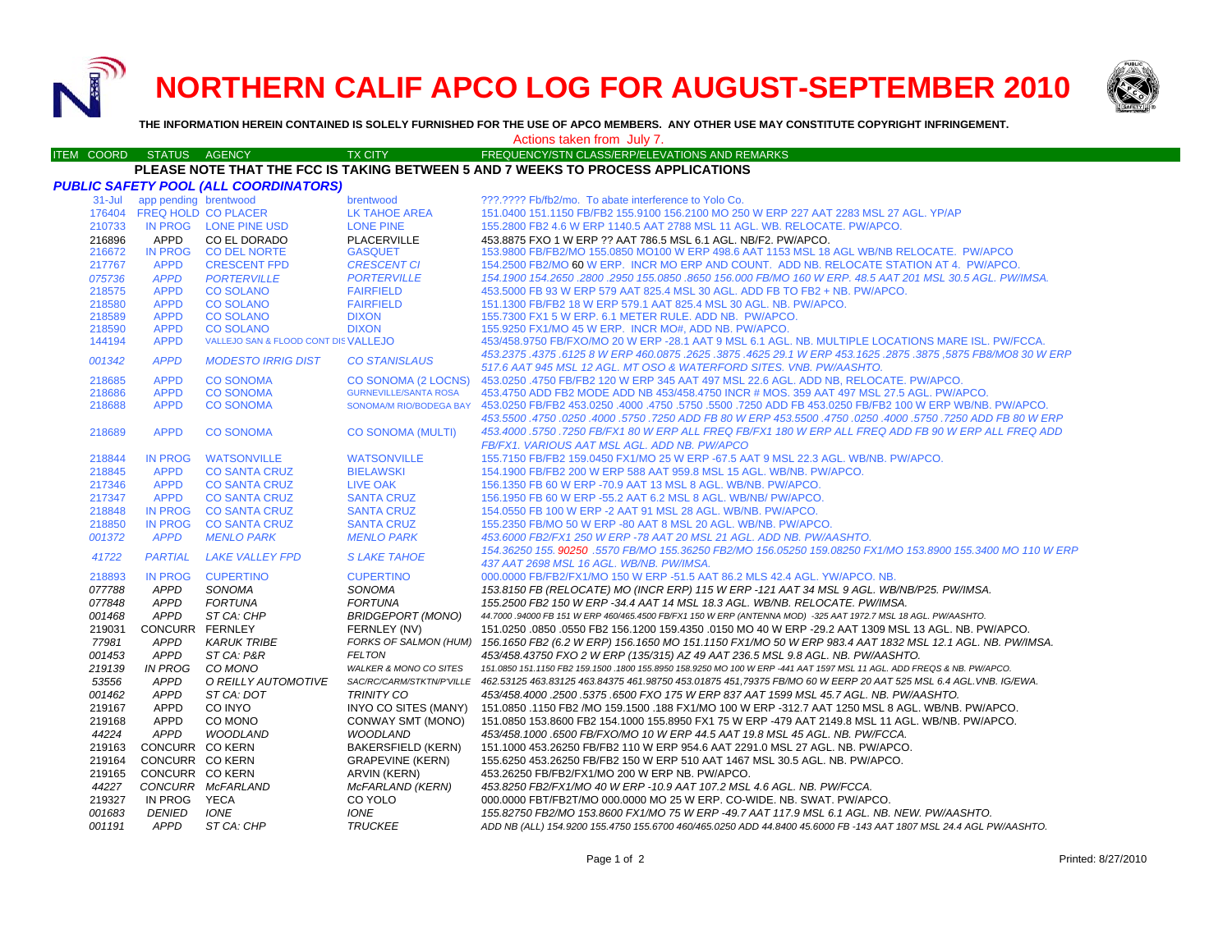**NORTHERN CALIF APCO LOG FOR AUGUST-SEPTEMBER 2010**



**THE INFORMATION HEREIN CONTAINED IS SOLELY FURNISHED FOR THE USE OF APCO MEMBERS. ANY OTHER USE MAY CONSTITUTE COPYRIGHT INFRINGEMENT.**

## Actions taken from July 7.

#### ITEM COORD STATUS AGENCY TX CITY TIREQUENCY/STN CLASS/ERP/ELEVATIONS AND REMARKS **PLEASE NOTE THAT THE FCC IS TAKING BETWEEN 5 AND 7 WEEKS TO PROCESS APPLICATIONS**

| $31 -$ Jul<br>app pending brentwood<br>???.???? Fb/fb2/mo. To abate interference to Yolo Co.<br>brentwood<br>176404<br><b>FREQ HOLD CO PLACER</b><br><b>LK TAHOE AREA</b><br>151.0400 151.1150 FB/FB2 155.9100 156.2100 MO 250 W ERP 227 AAT 2283 MSL 27 AGL, YP/AP<br>IN PROG LONE PINE USD<br>210733<br><b>LONE PINE</b><br>155,2800 FB2 4.6 W ERP 1140.5 AAT 2788 MSL 11 AGL, WB, RELOCATE, PW/APCO,<br>APPD<br>216896<br>CO EL DORADO<br><b>PLACERVILLE</b><br>453.8875 FXO 1 W ERP ?? AAT 786.5 MSL 6.1 AGL. NB/F2. PW/APCO.<br><b>IN PROG</b><br>153.9800 FB/FB2/MO 155.0850 MO100 W ERP 498.6 AAT 1153 MSL 18 AGL WB/NB RELOCATE. PW/APCO<br>216672<br><b>CO DEL NORTE</b><br><b>GASQUET</b><br><b>CRESCENT CI</b><br>154.2500 FB2/MO 60 W ERP. INCR MO ERP AND COUNT. ADD NB. RELOCATE STATION AT 4. PW/APCO.<br><b>APPD</b><br><b>CRESCENT FPD</b><br>217767<br><b>APPD</b><br><b>PORTERVILLE</b><br><b>PORTERVILLE</b><br>154.1900 154.2650 .2800 .2950 155.0850 .8650 156.000 FB/MO 160 W ERP. 48.5 AAT 201 MSL 30.5 AGL. PW/IMSA.<br>075736<br>218575<br><b>APPD</b><br><b>CO SOLANO</b><br><b>FAIRFIELD</b><br>453,5000 FB 93 W ERP 579 AAT 825.4 MSL 30 AGL, ADD FB TO FB2 + NB, PW/APCO.<br>218580<br><b>APPD</b><br><b>CO SOLANO</b><br><b>FAIRFIELD</b><br>151.1300 FB/FB2 18 W ERP 579.1 AAT 825.4 MSL 30 AGL. NB. PW/APCO.<br><b>CO SOLANO</b><br>155.7300 FX1 5 W ERP. 6.1 METER RULE. ADD NB. PW/APCO.<br>218589<br><b>APPD</b><br><b>DIXON</b><br><b>DIXON</b><br>218590<br><b>APPD</b><br><b>CO SOLANO</b><br>155.9250 FX1/MO 45 W ERP. INCR MO#, ADD NB. PW/APCO.<br>VALLEJO SAN & FLOOD CONT DIS VALLEJO<br>453/458.9750 FB/FXO/MO 20 W ERP -28.1 AAT 9 MSL 6.1 AGL. NB. MULTIPLE LOCATIONS MARE ISL. PW/FCCA.<br>144194<br><b>APPD</b><br>453.2375 .4375 .6125 8 W ERP 460.0875 .2625 .3875 .4625 29.1 W ERP 453.1625 .2875 .3875 .5875 FB8/MO8 30 W ERP<br>001342<br><b>APPD</b><br><b>MODESTO IRRIG DIST</b><br><b>CO STANISLAUS</b><br>517.6 AAT 945 MSL 12 AGL. MT OSO & WATERFORD SITES. VNB. PW/AASHTO.<br>218685<br><b>APPD</b><br><b>CO SONOMA</b><br><b>CO SONOMA (2 LOCNS)</b><br>453,0250 .4750 FB/FB2 120 W ERP 345 AAT 497 MSL 22.6 AGL, ADD NB, RELOCATE, PW/APCO,<br>453.4750 ADD FB2 MODE ADD NB 453/458.4750 INCR # MOS. 359 AAT 497 MSL 27.5 AGL. PW/APCO.<br>218686<br><b>APPD</b><br><b>CO SONOMA</b><br><b>GURNEVILLE/SANTA ROSA</b><br><b>APPD</b><br><b>SONOMA/M RIO/BODEGA BAY</b><br>218688<br><b>CO SONOMA</b><br>453.0250 FB/FB2 453.0250 FB/FB2 100 W ERP WB/NB. PW/APCO. 4750 .5750 .5750 .5750 .5750 .5750 ADD FB 453.0250 FB/FB2 100 W ERP WB/NB. PW/APCO.<br>453,5500 .4750 .0250 .0250 .4000 .5750 .0250 .4750 .0250 .4750 .6750 .5750 .5750 .5750 .0250 .0250 .0250 .4750<br>218689<br><b>APPD</b><br><b>CO SONOMA</b><br><b>CO SONOMA (MULTI)</b><br>453.4000 .5750 .7250 FB/FX1 80 W ERP ALL FREQ FB/FX1 180 W ERP ALL FREQ ADD FB 90 W ERP ALL FREQ ADD<br>FB/FX1. VARIOUS AAT MSL AGL. ADD NB. PW/APCO<br>218844<br><b>IN PROG</b><br><b>WATSONVILLE</b><br><b>WATSONVILLE</b><br>155.7150 FB/FB2 159.0450 FX1/MO 25 W ERP -67.5 AAT 9 MSL 22.3 AGL. WB/NB. PW/APCO.<br>218845<br><b>APPD</b><br><b>CO SANTA CRUZ</b><br><b>BIELAWSKI</b><br>154,1900 FB/FB2 200 W ERP 588 AAT 959.8 MSL 15 AGL, WB/NB, PW/APCO,<br><b>APPD</b><br><b>CO SANTA CRUZ</b><br>217346<br><b>LIVE OAK</b><br>156.1350 FB 60 W ERP -70.9 AAT 13 MSL 8 AGL, WB/NB, PW/APCO,<br><b>APPD</b><br>217347<br><b>CO SANTA CRUZ</b><br><b>SANTA CRUZ</b><br>156.1950 FB 60 W ERP -55.2 AAT 6.2 MSL 8 AGL. WB/NB/ PW/APCO.<br>218848<br><b>IN PROG</b><br><b>CO SANTA CRUZ</b><br><b>SANTA CRUZ</b><br>154,0550 FB 100 W ERP -2 AAT 91 MSL 28 AGL, WB/NB, PW/APCO,<br><b>IN PROG</b><br>218850<br><b>CO SANTA CRUZ</b><br><b>SANTA CRUZ</b><br>155,2350 FB/MO 50 W ERP -80 AAT 8 MSL 20 AGL, WB/NB, PW/APCO,<br><b>APPD</b><br>001372<br><b>MENLO PARK</b><br><b>MENLO PARK</b><br>453.6000 FB2/FX1 250 W ERP -78 AAT 20 MSL 21 AGL. ADD NB. PW/AASHTO.<br>154.36250 155, 90250 .5570 FB/MO 155.36250 FB2/MO 156.05250 159.08250 FX1/MO 153.8900 155.3400 MO 110 W ERP<br>41722<br><b>PARTIAL</b><br><b>LAKE VALLEY FPD</b><br><b>SLAKE TAHOE</b><br>437 AAT 2698 MSL 16 AGL, WB/NB, PW/IMSA,<br><b>IN PROG</b><br><b>CUPERTINO</b><br><b>CUPERTINO</b><br>000.0000 FB/FB2/FX1/MO 150 W ERP -51.5 AAT 86.2 MLS 42.4 AGL. YW/APCO. NB.<br>218893<br>077788<br>APPD<br>SONOMA<br>SONOMA<br>153.8150 FB (RELOCATE) MO (INCR ERP) 115 W ERP -121 AAT 34 MSL 9 AGL. WB/NB/P25. PW/IMSA.<br><b>APPD</b><br><b>FORTUNA</b><br><b>FORTUNA</b><br>155.2500 FB2 150 W ERP -34.4 AAT 14 MSL 18.3 AGL. WB/NB. RELOCATE. PW/IMSA.<br>077848<br>001468<br><b>APPD</b><br>ST CA: CHP<br><b>BRIDGEPORT (MONO)</b><br>44.7000 .94000 FB 151 W ERP 460/465.4500 FB/FX1 150 W ERP (ANTENNA MOD) -325 AAT 1972.7 MSL 18 AGL. PW/AASHTO.<br>219031<br>CONCURR FERNLEY<br>FERNLEY (NV)<br>151.0250 .0850 .0550 FB2 156.1200 159.4350 .0150 MO 40 W ERP -29.2 AAT 1309 MSL 13 AGL. NB. PW/APCO.<br>77981<br><b>APPD</b><br><b>KARUK TRIBE</b><br>FORKS OF SALMON (HUM) 156.1650 FB2 (6.2 W ERP) 156.1650 MO 151.1150 FX1/MO 50 W ERP 983.4 AAT 1832 MSL 12.1 AGL. NB. PW/IMSA.<br><b>APPD</b><br>ST CA: P&R<br>001453<br><b>FELTON</b><br>453/458.43750 FXO 2 W ERP (135/315) AZ 49 AAT 236.5 MSL 9.8 AGL. NB. PW/AASHTO.<br><b>IN PROG</b><br>219139<br>CO MONO<br><b>WALKER &amp; MONO CO SITES</b><br>151.0850 151.1150 FB2 159.1500 .1800 155.8950 158.9250 MO 100 W ERP -441 AAT 1597 MSL 11 AGL. ADD FREQS & NB. PW/APCO.<br>O REILLY AUTOMOTIVE<br>53556<br><b>APPD</b><br>SAC/RC/CARM/STKTN/P'VILLE 462.53125 463.83125 463.84375 461.98750 453.01875 451,79375 FB/MO 60 W EERP 20 AAT 525 MSL 6.4 AGL.VNB. IG/EWA.<br><b>APPD</b><br>ST CA: DOT<br><b>TRINITY CO</b><br>001462<br>453/458.4000 .2500 .5375 .6500 FXO 175 W ERP 837 AAT 1599 MSL 45.7 AGL. NB. PW/AASHTO.<br>219167<br>APPD<br>CO INYO<br>INYO CO SITES (MANY)<br>151.0850 1150 FB2 /MO 159.1500 188 FX1/MO 100 W ERP -312.7 AAT 1250 MSL 8 AGL. WB/NB. PW/APCO.<br><b>APPD</b><br>219168<br>CO MONO<br>CONWAY SMT (MONO)<br>151.0850 153.8600 FB2 154.1000 155.8950 FX1 75 W ERP -479 AAT 2149.8 MSL 11 AGL. WB/NB. PW/APCO.<br><b>APPD</b><br><b>WOODLAND</b><br><b>WOODLAND</b><br>44224<br>453/458.1000.6500 FB/FXO/MO 10 W ERP 44.5 AAT 19.8 MSL 45 AGL. NB. PW/FCCA.<br>CONCURR CO KERN<br>219163<br><b>BAKERSFIELD (KERN)</b><br>151.1000 453.26250 FB/FB2 110 W ERP 954.6 AAT 2291.0 MSL 27 AGL. NB. PW/APCO.<br>CONCURR CO KERN<br><b>GRAPEVINE (KERN)</b><br>219164<br>155.6250 453.26250 FB/FB2 150 W ERP 510 AAT 1467 MSL 30.5 AGL, NB, PW/APCO,<br>CONCURR CO KERN<br>ARVIN (KERN)<br>219165<br>453.26250 FB/FB2/FX1/MO 200 W ERP NB, PW/APCO,<br>CONCURR McFARLAND<br>McFARLAND (KERN)<br>44227<br>453.8250 FB2/FX1/MO 40 W ERP -10.9 AAT 107.2 MSL 4.6 AGL. NB. PW/FCCA.<br>219327<br>IN PROG<br>YECA<br>CO YOLO<br>000,0000 FBT/FB2T/MO 000,0000 MO 25 W ERP, CO-WIDE, NB, SWAT, PW/APCO, |        |               | PUBLIC SAFETY POOL (ALL COORDINATORS) |             |                                                                                            |
|---------------------------------------------------------------------------------------------------------------------------------------------------------------------------------------------------------------------------------------------------------------------------------------------------------------------------------------------------------------------------------------------------------------------------------------------------------------------------------------------------------------------------------------------------------------------------------------------------------------------------------------------------------------------------------------------------------------------------------------------------------------------------------------------------------------------------------------------------------------------------------------------------------------------------------------------------------------------------------------------------------------------------------------------------------------------------------------------------------------------------------------------------------------------------------------------------------------------------------------------------------------------------------------------------------------------------------------------------------------------------------------------------------------------------------------------------------------------------------------------------------------------------------------------------------------------------------------------------------------------------------------------------------------------------------------------------------------------------------------------------------------------------------------------------------------------------------------------------------------------------------------------------------------------------------------------------------------------------------------------------------------------------------------------------------------------------------------------------------------------------------------------------------------------------------------------------------------------------------------------------------------------------------------------------------------------------------------------------------------------------------------------------------------------------------------------------------------------------------------------------------------------------------------------------------------------------------------------------------------------------------------------------------------------------------------------------------------------------------------------------------------------------------------------------------------------------------------------------------------------------------------------------------------------------------------------------------------------------------------------------------------------------------------------------------------------------------------------------------------------------------------------------------------------------------------------------------------------------------------------------------------------------------------------------------------------------------------------------------------------------------------------------------------------------------------------------------------------------------------------------------------------------------------------------------------------------------------------------------------------------------------------------------------------------------------------------------------------------------------------------------------------------------------------------------------------------------------------------------------------------------------------------------------------------------------------------------------------------------------------------------------------------------------------------------------------------------------------------------------------------------------------------------------------------------------------------------------------------------------------------------------------------------------------------------------------------------------------------------------------------------------------------------------------------------------------------------------------------------------------------------------------------------------------------------------------------------------------------------------------------------------------------------------------------------------------------------------------------------------------------------------------------------------------------------------------------------------------------------------------------------------------------------------------------------------------------------------------------------------------------------------------------------------------------------------------------------------------------------------------------------------------------------------------------------------------------------------------------------------------------------------------------------------------------------------------------------------------------------------------------------------------------------------------------------------------------------------------------------------------------------------------------------------------------------------------------------------------------------------------------------------------------------------------------------------------------------------------------------------------------------------------------------------------------------------------------------------------------------------------------------------------------------------------------------------------------------------------------------------------------------------------------------------------------------------------------------------------------------------------------------------------------------------------------------------------------------------------------------------------------------------------------------------------------------------------------------------------------------------------------------------------------------------------------------------------------------------------------------------------------------------------------------------------------------------------------------------------------------------------------------------------------------------------------------------------------------------------------------------------------------------------------------------------------------------------------------------------------------------------------------------------------------------------------------------------------------------------------------------------|--------|---------------|---------------------------------------|-------------|--------------------------------------------------------------------------------------------|
|                                                                                                                                                                                                                                                                                                                                                                                                                                                                                                                                                                                                                                                                                                                                                                                                                                                                                                                                                                                                                                                                                                                                                                                                                                                                                                                                                                                                                                                                                                                                                                                                                                                                                                                                                                                                                                                                                                                                                                                                                                                                                                                                                                                                                                                                                                                                                                                                                                                                                                                                                                                                                                                                                                                                                                                                                                                                                                                                                                                                                                                                                                                                                                                                                                                                                                                                                                                                                                                                                                                                                                                                                                                                                                                                                                                                                                                                                                                                                                                                                                                                                                                                                                                                                                                                                                                                                                                                                                                                                                                                                                                                                                                                                                                                                                                                                                                                                                                                                                                                                                                                                                                                                                                                                                                                                                                                                                                                                                                                                                                                                                                                                                                                                                                                                                                                                                                                                                                                                                                                                                                                                                                                                                                                                                                                                                                                                                                                                                                                                                                                                                                                                                                                                                                                                                                                                                                                                                                                                                                             |        |               |                                       |             |                                                                                            |
|                                                                                                                                                                                                                                                                                                                                                                                                                                                                                                                                                                                                                                                                                                                                                                                                                                                                                                                                                                                                                                                                                                                                                                                                                                                                                                                                                                                                                                                                                                                                                                                                                                                                                                                                                                                                                                                                                                                                                                                                                                                                                                                                                                                                                                                                                                                                                                                                                                                                                                                                                                                                                                                                                                                                                                                                                                                                                                                                                                                                                                                                                                                                                                                                                                                                                                                                                                                                                                                                                                                                                                                                                                                                                                                                                                                                                                                                                                                                                                                                                                                                                                                                                                                                                                                                                                                                                                                                                                                                                                                                                                                                                                                                                                                                                                                                                                                                                                                                                                                                                                                                                                                                                                                                                                                                                                                                                                                                                                                                                                                                                                                                                                                                                                                                                                                                                                                                                                                                                                                                                                                                                                                                                                                                                                                                                                                                                                                                                                                                                                                                                                                                                                                                                                                                                                                                                                                                                                                                                                                             |        |               |                                       |             |                                                                                            |
|                                                                                                                                                                                                                                                                                                                                                                                                                                                                                                                                                                                                                                                                                                                                                                                                                                                                                                                                                                                                                                                                                                                                                                                                                                                                                                                                                                                                                                                                                                                                                                                                                                                                                                                                                                                                                                                                                                                                                                                                                                                                                                                                                                                                                                                                                                                                                                                                                                                                                                                                                                                                                                                                                                                                                                                                                                                                                                                                                                                                                                                                                                                                                                                                                                                                                                                                                                                                                                                                                                                                                                                                                                                                                                                                                                                                                                                                                                                                                                                                                                                                                                                                                                                                                                                                                                                                                                                                                                                                                                                                                                                                                                                                                                                                                                                                                                                                                                                                                                                                                                                                                                                                                                                                                                                                                                                                                                                                                                                                                                                                                                                                                                                                                                                                                                                                                                                                                                                                                                                                                                                                                                                                                                                                                                                                                                                                                                                                                                                                                                                                                                                                                                                                                                                                                                                                                                                                                                                                                                                             |        |               |                                       |             |                                                                                            |
|                                                                                                                                                                                                                                                                                                                                                                                                                                                                                                                                                                                                                                                                                                                                                                                                                                                                                                                                                                                                                                                                                                                                                                                                                                                                                                                                                                                                                                                                                                                                                                                                                                                                                                                                                                                                                                                                                                                                                                                                                                                                                                                                                                                                                                                                                                                                                                                                                                                                                                                                                                                                                                                                                                                                                                                                                                                                                                                                                                                                                                                                                                                                                                                                                                                                                                                                                                                                                                                                                                                                                                                                                                                                                                                                                                                                                                                                                                                                                                                                                                                                                                                                                                                                                                                                                                                                                                                                                                                                                                                                                                                                                                                                                                                                                                                                                                                                                                                                                                                                                                                                                                                                                                                                                                                                                                                                                                                                                                                                                                                                                                                                                                                                                                                                                                                                                                                                                                                                                                                                                                                                                                                                                                                                                                                                                                                                                                                                                                                                                                                                                                                                                                                                                                                                                                                                                                                                                                                                                                                             |        |               |                                       |             |                                                                                            |
|                                                                                                                                                                                                                                                                                                                                                                                                                                                                                                                                                                                                                                                                                                                                                                                                                                                                                                                                                                                                                                                                                                                                                                                                                                                                                                                                                                                                                                                                                                                                                                                                                                                                                                                                                                                                                                                                                                                                                                                                                                                                                                                                                                                                                                                                                                                                                                                                                                                                                                                                                                                                                                                                                                                                                                                                                                                                                                                                                                                                                                                                                                                                                                                                                                                                                                                                                                                                                                                                                                                                                                                                                                                                                                                                                                                                                                                                                                                                                                                                                                                                                                                                                                                                                                                                                                                                                                                                                                                                                                                                                                                                                                                                                                                                                                                                                                                                                                                                                                                                                                                                                                                                                                                                                                                                                                                                                                                                                                                                                                                                                                                                                                                                                                                                                                                                                                                                                                                                                                                                                                                                                                                                                                                                                                                                                                                                                                                                                                                                                                                                                                                                                                                                                                                                                                                                                                                                                                                                                                                             |        |               |                                       |             |                                                                                            |
|                                                                                                                                                                                                                                                                                                                                                                                                                                                                                                                                                                                                                                                                                                                                                                                                                                                                                                                                                                                                                                                                                                                                                                                                                                                                                                                                                                                                                                                                                                                                                                                                                                                                                                                                                                                                                                                                                                                                                                                                                                                                                                                                                                                                                                                                                                                                                                                                                                                                                                                                                                                                                                                                                                                                                                                                                                                                                                                                                                                                                                                                                                                                                                                                                                                                                                                                                                                                                                                                                                                                                                                                                                                                                                                                                                                                                                                                                                                                                                                                                                                                                                                                                                                                                                                                                                                                                                                                                                                                                                                                                                                                                                                                                                                                                                                                                                                                                                                                                                                                                                                                                                                                                                                                                                                                                                                                                                                                                                                                                                                                                                                                                                                                                                                                                                                                                                                                                                                                                                                                                                                                                                                                                                                                                                                                                                                                                                                                                                                                                                                                                                                                                                                                                                                                                                                                                                                                                                                                                                                             |        |               |                                       |             |                                                                                            |
|                                                                                                                                                                                                                                                                                                                                                                                                                                                                                                                                                                                                                                                                                                                                                                                                                                                                                                                                                                                                                                                                                                                                                                                                                                                                                                                                                                                                                                                                                                                                                                                                                                                                                                                                                                                                                                                                                                                                                                                                                                                                                                                                                                                                                                                                                                                                                                                                                                                                                                                                                                                                                                                                                                                                                                                                                                                                                                                                                                                                                                                                                                                                                                                                                                                                                                                                                                                                                                                                                                                                                                                                                                                                                                                                                                                                                                                                                                                                                                                                                                                                                                                                                                                                                                                                                                                                                                                                                                                                                                                                                                                                                                                                                                                                                                                                                                                                                                                                                                                                                                                                                                                                                                                                                                                                                                                                                                                                                                                                                                                                                                                                                                                                                                                                                                                                                                                                                                                                                                                                                                                                                                                                                                                                                                                                                                                                                                                                                                                                                                                                                                                                                                                                                                                                                                                                                                                                                                                                                                                             |        |               |                                       |             |                                                                                            |
|                                                                                                                                                                                                                                                                                                                                                                                                                                                                                                                                                                                                                                                                                                                                                                                                                                                                                                                                                                                                                                                                                                                                                                                                                                                                                                                                                                                                                                                                                                                                                                                                                                                                                                                                                                                                                                                                                                                                                                                                                                                                                                                                                                                                                                                                                                                                                                                                                                                                                                                                                                                                                                                                                                                                                                                                                                                                                                                                                                                                                                                                                                                                                                                                                                                                                                                                                                                                                                                                                                                                                                                                                                                                                                                                                                                                                                                                                                                                                                                                                                                                                                                                                                                                                                                                                                                                                                                                                                                                                                                                                                                                                                                                                                                                                                                                                                                                                                                                                                                                                                                                                                                                                                                                                                                                                                                                                                                                                                                                                                                                                                                                                                                                                                                                                                                                                                                                                                                                                                                                                                                                                                                                                                                                                                                                                                                                                                                                                                                                                                                                                                                                                                                                                                                                                                                                                                                                                                                                                                                             |        |               |                                       |             |                                                                                            |
|                                                                                                                                                                                                                                                                                                                                                                                                                                                                                                                                                                                                                                                                                                                                                                                                                                                                                                                                                                                                                                                                                                                                                                                                                                                                                                                                                                                                                                                                                                                                                                                                                                                                                                                                                                                                                                                                                                                                                                                                                                                                                                                                                                                                                                                                                                                                                                                                                                                                                                                                                                                                                                                                                                                                                                                                                                                                                                                                                                                                                                                                                                                                                                                                                                                                                                                                                                                                                                                                                                                                                                                                                                                                                                                                                                                                                                                                                                                                                                                                                                                                                                                                                                                                                                                                                                                                                                                                                                                                                                                                                                                                                                                                                                                                                                                                                                                                                                                                                                                                                                                                                                                                                                                                                                                                                                                                                                                                                                                                                                                                                                                                                                                                                                                                                                                                                                                                                                                                                                                                                                                                                                                                                                                                                                                                                                                                                                                                                                                                                                                                                                                                                                                                                                                                                                                                                                                                                                                                                                                             |        |               |                                       |             |                                                                                            |
|                                                                                                                                                                                                                                                                                                                                                                                                                                                                                                                                                                                                                                                                                                                                                                                                                                                                                                                                                                                                                                                                                                                                                                                                                                                                                                                                                                                                                                                                                                                                                                                                                                                                                                                                                                                                                                                                                                                                                                                                                                                                                                                                                                                                                                                                                                                                                                                                                                                                                                                                                                                                                                                                                                                                                                                                                                                                                                                                                                                                                                                                                                                                                                                                                                                                                                                                                                                                                                                                                                                                                                                                                                                                                                                                                                                                                                                                                                                                                                                                                                                                                                                                                                                                                                                                                                                                                                                                                                                                                                                                                                                                                                                                                                                                                                                                                                                                                                                                                                                                                                                                                                                                                                                                                                                                                                                                                                                                                                                                                                                                                                                                                                                                                                                                                                                                                                                                                                                                                                                                                                                                                                                                                                                                                                                                                                                                                                                                                                                                                                                                                                                                                                                                                                                                                                                                                                                                                                                                                                                             |        |               |                                       |             |                                                                                            |
|                                                                                                                                                                                                                                                                                                                                                                                                                                                                                                                                                                                                                                                                                                                                                                                                                                                                                                                                                                                                                                                                                                                                                                                                                                                                                                                                                                                                                                                                                                                                                                                                                                                                                                                                                                                                                                                                                                                                                                                                                                                                                                                                                                                                                                                                                                                                                                                                                                                                                                                                                                                                                                                                                                                                                                                                                                                                                                                                                                                                                                                                                                                                                                                                                                                                                                                                                                                                                                                                                                                                                                                                                                                                                                                                                                                                                                                                                                                                                                                                                                                                                                                                                                                                                                                                                                                                                                                                                                                                                                                                                                                                                                                                                                                                                                                                                                                                                                                                                                                                                                                                                                                                                                                                                                                                                                                                                                                                                                                                                                                                                                                                                                                                                                                                                                                                                                                                                                                                                                                                                                                                                                                                                                                                                                                                                                                                                                                                                                                                                                                                                                                                                                                                                                                                                                                                                                                                                                                                                                                             |        |               |                                       |             |                                                                                            |
|                                                                                                                                                                                                                                                                                                                                                                                                                                                                                                                                                                                                                                                                                                                                                                                                                                                                                                                                                                                                                                                                                                                                                                                                                                                                                                                                                                                                                                                                                                                                                                                                                                                                                                                                                                                                                                                                                                                                                                                                                                                                                                                                                                                                                                                                                                                                                                                                                                                                                                                                                                                                                                                                                                                                                                                                                                                                                                                                                                                                                                                                                                                                                                                                                                                                                                                                                                                                                                                                                                                                                                                                                                                                                                                                                                                                                                                                                                                                                                                                                                                                                                                                                                                                                                                                                                                                                                                                                                                                                                                                                                                                                                                                                                                                                                                                                                                                                                                                                                                                                                                                                                                                                                                                                                                                                                                                                                                                                                                                                                                                                                                                                                                                                                                                                                                                                                                                                                                                                                                                                                                                                                                                                                                                                                                                                                                                                                                                                                                                                                                                                                                                                                                                                                                                                                                                                                                                                                                                                                                             |        |               |                                       |             |                                                                                            |
|                                                                                                                                                                                                                                                                                                                                                                                                                                                                                                                                                                                                                                                                                                                                                                                                                                                                                                                                                                                                                                                                                                                                                                                                                                                                                                                                                                                                                                                                                                                                                                                                                                                                                                                                                                                                                                                                                                                                                                                                                                                                                                                                                                                                                                                                                                                                                                                                                                                                                                                                                                                                                                                                                                                                                                                                                                                                                                                                                                                                                                                                                                                                                                                                                                                                                                                                                                                                                                                                                                                                                                                                                                                                                                                                                                                                                                                                                                                                                                                                                                                                                                                                                                                                                                                                                                                                                                                                                                                                                                                                                                                                                                                                                                                                                                                                                                                                                                                                                                                                                                                                                                                                                                                                                                                                                                                                                                                                                                                                                                                                                                                                                                                                                                                                                                                                                                                                                                                                                                                                                                                                                                                                                                                                                                                                                                                                                                                                                                                                                                                                                                                                                                                                                                                                                                                                                                                                                                                                                                                             |        |               |                                       |             |                                                                                            |
|                                                                                                                                                                                                                                                                                                                                                                                                                                                                                                                                                                                                                                                                                                                                                                                                                                                                                                                                                                                                                                                                                                                                                                                                                                                                                                                                                                                                                                                                                                                                                                                                                                                                                                                                                                                                                                                                                                                                                                                                                                                                                                                                                                                                                                                                                                                                                                                                                                                                                                                                                                                                                                                                                                                                                                                                                                                                                                                                                                                                                                                                                                                                                                                                                                                                                                                                                                                                                                                                                                                                                                                                                                                                                                                                                                                                                                                                                                                                                                                                                                                                                                                                                                                                                                                                                                                                                                                                                                                                                                                                                                                                                                                                                                                                                                                                                                                                                                                                                                                                                                                                                                                                                                                                                                                                                                                                                                                                                                                                                                                                                                                                                                                                                                                                                                                                                                                                                                                                                                                                                                                                                                                                                                                                                                                                                                                                                                                                                                                                                                                                                                                                                                                                                                                                                                                                                                                                                                                                                                                             |        |               |                                       |             |                                                                                            |
|                                                                                                                                                                                                                                                                                                                                                                                                                                                                                                                                                                                                                                                                                                                                                                                                                                                                                                                                                                                                                                                                                                                                                                                                                                                                                                                                                                                                                                                                                                                                                                                                                                                                                                                                                                                                                                                                                                                                                                                                                                                                                                                                                                                                                                                                                                                                                                                                                                                                                                                                                                                                                                                                                                                                                                                                                                                                                                                                                                                                                                                                                                                                                                                                                                                                                                                                                                                                                                                                                                                                                                                                                                                                                                                                                                                                                                                                                                                                                                                                                                                                                                                                                                                                                                                                                                                                                                                                                                                                                                                                                                                                                                                                                                                                                                                                                                                                                                                                                                                                                                                                                                                                                                                                                                                                                                                                                                                                                                                                                                                                                                                                                                                                                                                                                                                                                                                                                                                                                                                                                                                                                                                                                                                                                                                                                                                                                                                                                                                                                                                                                                                                                                                                                                                                                                                                                                                                                                                                                                                             |        |               |                                       |             |                                                                                            |
|                                                                                                                                                                                                                                                                                                                                                                                                                                                                                                                                                                                                                                                                                                                                                                                                                                                                                                                                                                                                                                                                                                                                                                                                                                                                                                                                                                                                                                                                                                                                                                                                                                                                                                                                                                                                                                                                                                                                                                                                                                                                                                                                                                                                                                                                                                                                                                                                                                                                                                                                                                                                                                                                                                                                                                                                                                                                                                                                                                                                                                                                                                                                                                                                                                                                                                                                                                                                                                                                                                                                                                                                                                                                                                                                                                                                                                                                                                                                                                                                                                                                                                                                                                                                                                                                                                                                                                                                                                                                                                                                                                                                                                                                                                                                                                                                                                                                                                                                                                                                                                                                                                                                                                                                                                                                                                                                                                                                                                                                                                                                                                                                                                                                                                                                                                                                                                                                                                                                                                                                                                                                                                                                                                                                                                                                                                                                                                                                                                                                                                                                                                                                                                                                                                                                                                                                                                                                                                                                                                                             |        |               |                                       |             |                                                                                            |
|                                                                                                                                                                                                                                                                                                                                                                                                                                                                                                                                                                                                                                                                                                                                                                                                                                                                                                                                                                                                                                                                                                                                                                                                                                                                                                                                                                                                                                                                                                                                                                                                                                                                                                                                                                                                                                                                                                                                                                                                                                                                                                                                                                                                                                                                                                                                                                                                                                                                                                                                                                                                                                                                                                                                                                                                                                                                                                                                                                                                                                                                                                                                                                                                                                                                                                                                                                                                                                                                                                                                                                                                                                                                                                                                                                                                                                                                                                                                                                                                                                                                                                                                                                                                                                                                                                                                                                                                                                                                                                                                                                                                                                                                                                                                                                                                                                                                                                                                                                                                                                                                                                                                                                                                                                                                                                                                                                                                                                                                                                                                                                                                                                                                                                                                                                                                                                                                                                                                                                                                                                                                                                                                                                                                                                                                                                                                                                                                                                                                                                                                                                                                                                                                                                                                                                                                                                                                                                                                                                                             |        |               |                                       |             |                                                                                            |
|                                                                                                                                                                                                                                                                                                                                                                                                                                                                                                                                                                                                                                                                                                                                                                                                                                                                                                                                                                                                                                                                                                                                                                                                                                                                                                                                                                                                                                                                                                                                                                                                                                                                                                                                                                                                                                                                                                                                                                                                                                                                                                                                                                                                                                                                                                                                                                                                                                                                                                                                                                                                                                                                                                                                                                                                                                                                                                                                                                                                                                                                                                                                                                                                                                                                                                                                                                                                                                                                                                                                                                                                                                                                                                                                                                                                                                                                                                                                                                                                                                                                                                                                                                                                                                                                                                                                                                                                                                                                                                                                                                                                                                                                                                                                                                                                                                                                                                                                                                                                                                                                                                                                                                                                                                                                                                                                                                                                                                                                                                                                                                                                                                                                                                                                                                                                                                                                                                                                                                                                                                                                                                                                                                                                                                                                                                                                                                                                                                                                                                                                                                                                                                                                                                                                                                                                                                                                                                                                                                                             |        |               |                                       |             |                                                                                            |
|                                                                                                                                                                                                                                                                                                                                                                                                                                                                                                                                                                                                                                                                                                                                                                                                                                                                                                                                                                                                                                                                                                                                                                                                                                                                                                                                                                                                                                                                                                                                                                                                                                                                                                                                                                                                                                                                                                                                                                                                                                                                                                                                                                                                                                                                                                                                                                                                                                                                                                                                                                                                                                                                                                                                                                                                                                                                                                                                                                                                                                                                                                                                                                                                                                                                                                                                                                                                                                                                                                                                                                                                                                                                                                                                                                                                                                                                                                                                                                                                                                                                                                                                                                                                                                                                                                                                                                                                                                                                                                                                                                                                                                                                                                                                                                                                                                                                                                                                                                                                                                                                                                                                                                                                                                                                                                                                                                                                                                                                                                                                                                                                                                                                                                                                                                                                                                                                                                                                                                                                                                                                                                                                                                                                                                                                                                                                                                                                                                                                                                                                                                                                                                                                                                                                                                                                                                                                                                                                                                                             |        |               |                                       |             |                                                                                            |
|                                                                                                                                                                                                                                                                                                                                                                                                                                                                                                                                                                                                                                                                                                                                                                                                                                                                                                                                                                                                                                                                                                                                                                                                                                                                                                                                                                                                                                                                                                                                                                                                                                                                                                                                                                                                                                                                                                                                                                                                                                                                                                                                                                                                                                                                                                                                                                                                                                                                                                                                                                                                                                                                                                                                                                                                                                                                                                                                                                                                                                                                                                                                                                                                                                                                                                                                                                                                                                                                                                                                                                                                                                                                                                                                                                                                                                                                                                                                                                                                                                                                                                                                                                                                                                                                                                                                                                                                                                                                                                                                                                                                                                                                                                                                                                                                                                                                                                                                                                                                                                                                                                                                                                                                                                                                                                                                                                                                                                                                                                                                                                                                                                                                                                                                                                                                                                                                                                                                                                                                                                                                                                                                                                                                                                                                                                                                                                                                                                                                                                                                                                                                                                                                                                                                                                                                                                                                                                                                                                                             |        |               |                                       |             |                                                                                            |
|                                                                                                                                                                                                                                                                                                                                                                                                                                                                                                                                                                                                                                                                                                                                                                                                                                                                                                                                                                                                                                                                                                                                                                                                                                                                                                                                                                                                                                                                                                                                                                                                                                                                                                                                                                                                                                                                                                                                                                                                                                                                                                                                                                                                                                                                                                                                                                                                                                                                                                                                                                                                                                                                                                                                                                                                                                                                                                                                                                                                                                                                                                                                                                                                                                                                                                                                                                                                                                                                                                                                                                                                                                                                                                                                                                                                                                                                                                                                                                                                                                                                                                                                                                                                                                                                                                                                                                                                                                                                                                                                                                                                                                                                                                                                                                                                                                                                                                                                                                                                                                                                                                                                                                                                                                                                                                                                                                                                                                                                                                                                                                                                                                                                                                                                                                                                                                                                                                                                                                                                                                                                                                                                                                                                                                                                                                                                                                                                                                                                                                                                                                                                                                                                                                                                                                                                                                                                                                                                                                                             |        |               |                                       |             |                                                                                            |
|                                                                                                                                                                                                                                                                                                                                                                                                                                                                                                                                                                                                                                                                                                                                                                                                                                                                                                                                                                                                                                                                                                                                                                                                                                                                                                                                                                                                                                                                                                                                                                                                                                                                                                                                                                                                                                                                                                                                                                                                                                                                                                                                                                                                                                                                                                                                                                                                                                                                                                                                                                                                                                                                                                                                                                                                                                                                                                                                                                                                                                                                                                                                                                                                                                                                                                                                                                                                                                                                                                                                                                                                                                                                                                                                                                                                                                                                                                                                                                                                                                                                                                                                                                                                                                                                                                                                                                                                                                                                                                                                                                                                                                                                                                                                                                                                                                                                                                                                                                                                                                                                                                                                                                                                                                                                                                                                                                                                                                                                                                                                                                                                                                                                                                                                                                                                                                                                                                                                                                                                                                                                                                                                                                                                                                                                                                                                                                                                                                                                                                                                                                                                                                                                                                                                                                                                                                                                                                                                                                                             |        |               |                                       |             |                                                                                            |
|                                                                                                                                                                                                                                                                                                                                                                                                                                                                                                                                                                                                                                                                                                                                                                                                                                                                                                                                                                                                                                                                                                                                                                                                                                                                                                                                                                                                                                                                                                                                                                                                                                                                                                                                                                                                                                                                                                                                                                                                                                                                                                                                                                                                                                                                                                                                                                                                                                                                                                                                                                                                                                                                                                                                                                                                                                                                                                                                                                                                                                                                                                                                                                                                                                                                                                                                                                                                                                                                                                                                                                                                                                                                                                                                                                                                                                                                                                                                                                                                                                                                                                                                                                                                                                                                                                                                                                                                                                                                                                                                                                                                                                                                                                                                                                                                                                                                                                                                                                                                                                                                                                                                                                                                                                                                                                                                                                                                                                                                                                                                                                                                                                                                                                                                                                                                                                                                                                                                                                                                                                                                                                                                                                                                                                                                                                                                                                                                                                                                                                                                                                                                                                                                                                                                                                                                                                                                                                                                                                                             |        |               |                                       |             |                                                                                            |
|                                                                                                                                                                                                                                                                                                                                                                                                                                                                                                                                                                                                                                                                                                                                                                                                                                                                                                                                                                                                                                                                                                                                                                                                                                                                                                                                                                                                                                                                                                                                                                                                                                                                                                                                                                                                                                                                                                                                                                                                                                                                                                                                                                                                                                                                                                                                                                                                                                                                                                                                                                                                                                                                                                                                                                                                                                                                                                                                                                                                                                                                                                                                                                                                                                                                                                                                                                                                                                                                                                                                                                                                                                                                                                                                                                                                                                                                                                                                                                                                                                                                                                                                                                                                                                                                                                                                                                                                                                                                                                                                                                                                                                                                                                                                                                                                                                                                                                                                                                                                                                                                                                                                                                                                                                                                                                                                                                                                                                                                                                                                                                                                                                                                                                                                                                                                                                                                                                                                                                                                                                                                                                                                                                                                                                                                                                                                                                                                                                                                                                                                                                                                                                                                                                                                                                                                                                                                                                                                                                                             |        |               |                                       |             |                                                                                            |
|                                                                                                                                                                                                                                                                                                                                                                                                                                                                                                                                                                                                                                                                                                                                                                                                                                                                                                                                                                                                                                                                                                                                                                                                                                                                                                                                                                                                                                                                                                                                                                                                                                                                                                                                                                                                                                                                                                                                                                                                                                                                                                                                                                                                                                                                                                                                                                                                                                                                                                                                                                                                                                                                                                                                                                                                                                                                                                                                                                                                                                                                                                                                                                                                                                                                                                                                                                                                                                                                                                                                                                                                                                                                                                                                                                                                                                                                                                                                                                                                                                                                                                                                                                                                                                                                                                                                                                                                                                                                                                                                                                                                                                                                                                                                                                                                                                                                                                                                                                                                                                                                                                                                                                                                                                                                                                                                                                                                                                                                                                                                                                                                                                                                                                                                                                                                                                                                                                                                                                                                                                                                                                                                                                                                                                                                                                                                                                                                                                                                                                                                                                                                                                                                                                                                                                                                                                                                                                                                                                                             |        |               |                                       |             |                                                                                            |
|                                                                                                                                                                                                                                                                                                                                                                                                                                                                                                                                                                                                                                                                                                                                                                                                                                                                                                                                                                                                                                                                                                                                                                                                                                                                                                                                                                                                                                                                                                                                                                                                                                                                                                                                                                                                                                                                                                                                                                                                                                                                                                                                                                                                                                                                                                                                                                                                                                                                                                                                                                                                                                                                                                                                                                                                                                                                                                                                                                                                                                                                                                                                                                                                                                                                                                                                                                                                                                                                                                                                                                                                                                                                                                                                                                                                                                                                                                                                                                                                                                                                                                                                                                                                                                                                                                                                                                                                                                                                                                                                                                                                                                                                                                                                                                                                                                                                                                                                                                                                                                                                                                                                                                                                                                                                                                                                                                                                                                                                                                                                                                                                                                                                                                                                                                                                                                                                                                                                                                                                                                                                                                                                                                                                                                                                                                                                                                                                                                                                                                                                                                                                                                                                                                                                                                                                                                                                                                                                                                                             |        |               |                                       |             |                                                                                            |
|                                                                                                                                                                                                                                                                                                                                                                                                                                                                                                                                                                                                                                                                                                                                                                                                                                                                                                                                                                                                                                                                                                                                                                                                                                                                                                                                                                                                                                                                                                                                                                                                                                                                                                                                                                                                                                                                                                                                                                                                                                                                                                                                                                                                                                                                                                                                                                                                                                                                                                                                                                                                                                                                                                                                                                                                                                                                                                                                                                                                                                                                                                                                                                                                                                                                                                                                                                                                                                                                                                                                                                                                                                                                                                                                                                                                                                                                                                                                                                                                                                                                                                                                                                                                                                                                                                                                                                                                                                                                                                                                                                                                                                                                                                                                                                                                                                                                                                                                                                                                                                                                                                                                                                                                                                                                                                                                                                                                                                                                                                                                                                                                                                                                                                                                                                                                                                                                                                                                                                                                                                                                                                                                                                                                                                                                                                                                                                                                                                                                                                                                                                                                                                                                                                                                                                                                                                                                                                                                                                                             |        |               |                                       |             |                                                                                            |
|                                                                                                                                                                                                                                                                                                                                                                                                                                                                                                                                                                                                                                                                                                                                                                                                                                                                                                                                                                                                                                                                                                                                                                                                                                                                                                                                                                                                                                                                                                                                                                                                                                                                                                                                                                                                                                                                                                                                                                                                                                                                                                                                                                                                                                                                                                                                                                                                                                                                                                                                                                                                                                                                                                                                                                                                                                                                                                                                                                                                                                                                                                                                                                                                                                                                                                                                                                                                                                                                                                                                                                                                                                                                                                                                                                                                                                                                                                                                                                                                                                                                                                                                                                                                                                                                                                                                                                                                                                                                                                                                                                                                                                                                                                                                                                                                                                                                                                                                                                                                                                                                                                                                                                                                                                                                                                                                                                                                                                                                                                                                                                                                                                                                                                                                                                                                                                                                                                                                                                                                                                                                                                                                                                                                                                                                                                                                                                                                                                                                                                                                                                                                                                                                                                                                                                                                                                                                                                                                                                                             |        |               |                                       |             |                                                                                            |
|                                                                                                                                                                                                                                                                                                                                                                                                                                                                                                                                                                                                                                                                                                                                                                                                                                                                                                                                                                                                                                                                                                                                                                                                                                                                                                                                                                                                                                                                                                                                                                                                                                                                                                                                                                                                                                                                                                                                                                                                                                                                                                                                                                                                                                                                                                                                                                                                                                                                                                                                                                                                                                                                                                                                                                                                                                                                                                                                                                                                                                                                                                                                                                                                                                                                                                                                                                                                                                                                                                                                                                                                                                                                                                                                                                                                                                                                                                                                                                                                                                                                                                                                                                                                                                                                                                                                                                                                                                                                                                                                                                                                                                                                                                                                                                                                                                                                                                                                                                                                                                                                                                                                                                                                                                                                                                                                                                                                                                                                                                                                                                                                                                                                                                                                                                                                                                                                                                                                                                                                                                                                                                                                                                                                                                                                                                                                                                                                                                                                                                                                                                                                                                                                                                                                                                                                                                                                                                                                                                                             |        |               |                                       |             |                                                                                            |
|                                                                                                                                                                                                                                                                                                                                                                                                                                                                                                                                                                                                                                                                                                                                                                                                                                                                                                                                                                                                                                                                                                                                                                                                                                                                                                                                                                                                                                                                                                                                                                                                                                                                                                                                                                                                                                                                                                                                                                                                                                                                                                                                                                                                                                                                                                                                                                                                                                                                                                                                                                                                                                                                                                                                                                                                                                                                                                                                                                                                                                                                                                                                                                                                                                                                                                                                                                                                                                                                                                                                                                                                                                                                                                                                                                                                                                                                                                                                                                                                                                                                                                                                                                                                                                                                                                                                                                                                                                                                                                                                                                                                                                                                                                                                                                                                                                                                                                                                                                                                                                                                                                                                                                                                                                                                                                                                                                                                                                                                                                                                                                                                                                                                                                                                                                                                                                                                                                                                                                                                                                                                                                                                                                                                                                                                                                                                                                                                                                                                                                                                                                                                                                                                                                                                                                                                                                                                                                                                                                                             |        |               |                                       |             |                                                                                            |
|                                                                                                                                                                                                                                                                                                                                                                                                                                                                                                                                                                                                                                                                                                                                                                                                                                                                                                                                                                                                                                                                                                                                                                                                                                                                                                                                                                                                                                                                                                                                                                                                                                                                                                                                                                                                                                                                                                                                                                                                                                                                                                                                                                                                                                                                                                                                                                                                                                                                                                                                                                                                                                                                                                                                                                                                                                                                                                                                                                                                                                                                                                                                                                                                                                                                                                                                                                                                                                                                                                                                                                                                                                                                                                                                                                                                                                                                                                                                                                                                                                                                                                                                                                                                                                                                                                                                                                                                                                                                                                                                                                                                                                                                                                                                                                                                                                                                                                                                                                                                                                                                                                                                                                                                                                                                                                                                                                                                                                                                                                                                                                                                                                                                                                                                                                                                                                                                                                                                                                                                                                                                                                                                                                                                                                                                                                                                                                                                                                                                                                                                                                                                                                                                                                                                                                                                                                                                                                                                                                                             |        |               |                                       |             |                                                                                            |
|                                                                                                                                                                                                                                                                                                                                                                                                                                                                                                                                                                                                                                                                                                                                                                                                                                                                                                                                                                                                                                                                                                                                                                                                                                                                                                                                                                                                                                                                                                                                                                                                                                                                                                                                                                                                                                                                                                                                                                                                                                                                                                                                                                                                                                                                                                                                                                                                                                                                                                                                                                                                                                                                                                                                                                                                                                                                                                                                                                                                                                                                                                                                                                                                                                                                                                                                                                                                                                                                                                                                                                                                                                                                                                                                                                                                                                                                                                                                                                                                                                                                                                                                                                                                                                                                                                                                                                                                                                                                                                                                                                                                                                                                                                                                                                                                                                                                                                                                                                                                                                                                                                                                                                                                                                                                                                                                                                                                                                                                                                                                                                                                                                                                                                                                                                                                                                                                                                                                                                                                                                                                                                                                                                                                                                                                                                                                                                                                                                                                                                                                                                                                                                                                                                                                                                                                                                                                                                                                                                                             |        |               |                                       |             |                                                                                            |
|                                                                                                                                                                                                                                                                                                                                                                                                                                                                                                                                                                                                                                                                                                                                                                                                                                                                                                                                                                                                                                                                                                                                                                                                                                                                                                                                                                                                                                                                                                                                                                                                                                                                                                                                                                                                                                                                                                                                                                                                                                                                                                                                                                                                                                                                                                                                                                                                                                                                                                                                                                                                                                                                                                                                                                                                                                                                                                                                                                                                                                                                                                                                                                                                                                                                                                                                                                                                                                                                                                                                                                                                                                                                                                                                                                                                                                                                                                                                                                                                                                                                                                                                                                                                                                                                                                                                                                                                                                                                                                                                                                                                                                                                                                                                                                                                                                                                                                                                                                                                                                                                                                                                                                                                                                                                                                                                                                                                                                                                                                                                                                                                                                                                                                                                                                                                                                                                                                                                                                                                                                                                                                                                                                                                                                                                                                                                                                                                                                                                                                                                                                                                                                                                                                                                                                                                                                                                                                                                                                                             |        |               |                                       |             |                                                                                            |
|                                                                                                                                                                                                                                                                                                                                                                                                                                                                                                                                                                                                                                                                                                                                                                                                                                                                                                                                                                                                                                                                                                                                                                                                                                                                                                                                                                                                                                                                                                                                                                                                                                                                                                                                                                                                                                                                                                                                                                                                                                                                                                                                                                                                                                                                                                                                                                                                                                                                                                                                                                                                                                                                                                                                                                                                                                                                                                                                                                                                                                                                                                                                                                                                                                                                                                                                                                                                                                                                                                                                                                                                                                                                                                                                                                                                                                                                                                                                                                                                                                                                                                                                                                                                                                                                                                                                                                                                                                                                                                                                                                                                                                                                                                                                                                                                                                                                                                                                                                                                                                                                                                                                                                                                                                                                                                                                                                                                                                                                                                                                                                                                                                                                                                                                                                                                                                                                                                                                                                                                                                                                                                                                                                                                                                                                                                                                                                                                                                                                                                                                                                                                                                                                                                                                                                                                                                                                                                                                                                                             |        |               |                                       |             |                                                                                            |
|                                                                                                                                                                                                                                                                                                                                                                                                                                                                                                                                                                                                                                                                                                                                                                                                                                                                                                                                                                                                                                                                                                                                                                                                                                                                                                                                                                                                                                                                                                                                                                                                                                                                                                                                                                                                                                                                                                                                                                                                                                                                                                                                                                                                                                                                                                                                                                                                                                                                                                                                                                                                                                                                                                                                                                                                                                                                                                                                                                                                                                                                                                                                                                                                                                                                                                                                                                                                                                                                                                                                                                                                                                                                                                                                                                                                                                                                                                                                                                                                                                                                                                                                                                                                                                                                                                                                                                                                                                                                                                                                                                                                                                                                                                                                                                                                                                                                                                                                                                                                                                                                                                                                                                                                                                                                                                                                                                                                                                                                                                                                                                                                                                                                                                                                                                                                                                                                                                                                                                                                                                                                                                                                                                                                                                                                                                                                                                                                                                                                                                                                                                                                                                                                                                                                                                                                                                                                                                                                                                                             |        |               |                                       |             |                                                                                            |
|                                                                                                                                                                                                                                                                                                                                                                                                                                                                                                                                                                                                                                                                                                                                                                                                                                                                                                                                                                                                                                                                                                                                                                                                                                                                                                                                                                                                                                                                                                                                                                                                                                                                                                                                                                                                                                                                                                                                                                                                                                                                                                                                                                                                                                                                                                                                                                                                                                                                                                                                                                                                                                                                                                                                                                                                                                                                                                                                                                                                                                                                                                                                                                                                                                                                                                                                                                                                                                                                                                                                                                                                                                                                                                                                                                                                                                                                                                                                                                                                                                                                                                                                                                                                                                                                                                                                                                                                                                                                                                                                                                                                                                                                                                                                                                                                                                                                                                                                                                                                                                                                                                                                                                                                                                                                                                                                                                                                                                                                                                                                                                                                                                                                                                                                                                                                                                                                                                                                                                                                                                                                                                                                                                                                                                                                                                                                                                                                                                                                                                                                                                                                                                                                                                                                                                                                                                                                                                                                                                                             |        |               |                                       |             |                                                                                            |
|                                                                                                                                                                                                                                                                                                                                                                                                                                                                                                                                                                                                                                                                                                                                                                                                                                                                                                                                                                                                                                                                                                                                                                                                                                                                                                                                                                                                                                                                                                                                                                                                                                                                                                                                                                                                                                                                                                                                                                                                                                                                                                                                                                                                                                                                                                                                                                                                                                                                                                                                                                                                                                                                                                                                                                                                                                                                                                                                                                                                                                                                                                                                                                                                                                                                                                                                                                                                                                                                                                                                                                                                                                                                                                                                                                                                                                                                                                                                                                                                                                                                                                                                                                                                                                                                                                                                                                                                                                                                                                                                                                                                                                                                                                                                                                                                                                                                                                                                                                                                                                                                                                                                                                                                                                                                                                                                                                                                                                                                                                                                                                                                                                                                                                                                                                                                                                                                                                                                                                                                                                                                                                                                                                                                                                                                                                                                                                                                                                                                                                                                                                                                                                                                                                                                                                                                                                                                                                                                                                                             |        |               |                                       |             |                                                                                            |
|                                                                                                                                                                                                                                                                                                                                                                                                                                                                                                                                                                                                                                                                                                                                                                                                                                                                                                                                                                                                                                                                                                                                                                                                                                                                                                                                                                                                                                                                                                                                                                                                                                                                                                                                                                                                                                                                                                                                                                                                                                                                                                                                                                                                                                                                                                                                                                                                                                                                                                                                                                                                                                                                                                                                                                                                                                                                                                                                                                                                                                                                                                                                                                                                                                                                                                                                                                                                                                                                                                                                                                                                                                                                                                                                                                                                                                                                                                                                                                                                                                                                                                                                                                                                                                                                                                                                                                                                                                                                                                                                                                                                                                                                                                                                                                                                                                                                                                                                                                                                                                                                                                                                                                                                                                                                                                                                                                                                                                                                                                                                                                                                                                                                                                                                                                                                                                                                                                                                                                                                                                                                                                                                                                                                                                                                                                                                                                                                                                                                                                                                                                                                                                                                                                                                                                                                                                                                                                                                                                                             |        |               |                                       |             |                                                                                            |
|                                                                                                                                                                                                                                                                                                                                                                                                                                                                                                                                                                                                                                                                                                                                                                                                                                                                                                                                                                                                                                                                                                                                                                                                                                                                                                                                                                                                                                                                                                                                                                                                                                                                                                                                                                                                                                                                                                                                                                                                                                                                                                                                                                                                                                                                                                                                                                                                                                                                                                                                                                                                                                                                                                                                                                                                                                                                                                                                                                                                                                                                                                                                                                                                                                                                                                                                                                                                                                                                                                                                                                                                                                                                                                                                                                                                                                                                                                                                                                                                                                                                                                                                                                                                                                                                                                                                                                                                                                                                                                                                                                                                                                                                                                                                                                                                                                                                                                                                                                                                                                                                                                                                                                                                                                                                                                                                                                                                                                                                                                                                                                                                                                                                                                                                                                                                                                                                                                                                                                                                                                                                                                                                                                                                                                                                                                                                                                                                                                                                                                                                                                                                                                                                                                                                                                                                                                                                                                                                                                                             |        |               |                                       |             |                                                                                            |
|                                                                                                                                                                                                                                                                                                                                                                                                                                                                                                                                                                                                                                                                                                                                                                                                                                                                                                                                                                                                                                                                                                                                                                                                                                                                                                                                                                                                                                                                                                                                                                                                                                                                                                                                                                                                                                                                                                                                                                                                                                                                                                                                                                                                                                                                                                                                                                                                                                                                                                                                                                                                                                                                                                                                                                                                                                                                                                                                                                                                                                                                                                                                                                                                                                                                                                                                                                                                                                                                                                                                                                                                                                                                                                                                                                                                                                                                                                                                                                                                                                                                                                                                                                                                                                                                                                                                                                                                                                                                                                                                                                                                                                                                                                                                                                                                                                                                                                                                                                                                                                                                                                                                                                                                                                                                                                                                                                                                                                                                                                                                                                                                                                                                                                                                                                                                                                                                                                                                                                                                                                                                                                                                                                                                                                                                                                                                                                                                                                                                                                                                                                                                                                                                                                                                                                                                                                                                                                                                                                                             |        |               |                                       |             |                                                                                            |
|                                                                                                                                                                                                                                                                                                                                                                                                                                                                                                                                                                                                                                                                                                                                                                                                                                                                                                                                                                                                                                                                                                                                                                                                                                                                                                                                                                                                                                                                                                                                                                                                                                                                                                                                                                                                                                                                                                                                                                                                                                                                                                                                                                                                                                                                                                                                                                                                                                                                                                                                                                                                                                                                                                                                                                                                                                                                                                                                                                                                                                                                                                                                                                                                                                                                                                                                                                                                                                                                                                                                                                                                                                                                                                                                                                                                                                                                                                                                                                                                                                                                                                                                                                                                                                                                                                                                                                                                                                                                                                                                                                                                                                                                                                                                                                                                                                                                                                                                                                                                                                                                                                                                                                                                                                                                                                                                                                                                                                                                                                                                                                                                                                                                                                                                                                                                                                                                                                                                                                                                                                                                                                                                                                                                                                                                                                                                                                                                                                                                                                                                                                                                                                                                                                                                                                                                                                                                                                                                                                                             |        |               |                                       |             |                                                                                            |
|                                                                                                                                                                                                                                                                                                                                                                                                                                                                                                                                                                                                                                                                                                                                                                                                                                                                                                                                                                                                                                                                                                                                                                                                                                                                                                                                                                                                                                                                                                                                                                                                                                                                                                                                                                                                                                                                                                                                                                                                                                                                                                                                                                                                                                                                                                                                                                                                                                                                                                                                                                                                                                                                                                                                                                                                                                                                                                                                                                                                                                                                                                                                                                                                                                                                                                                                                                                                                                                                                                                                                                                                                                                                                                                                                                                                                                                                                                                                                                                                                                                                                                                                                                                                                                                                                                                                                                                                                                                                                                                                                                                                                                                                                                                                                                                                                                                                                                                                                                                                                                                                                                                                                                                                                                                                                                                                                                                                                                                                                                                                                                                                                                                                                                                                                                                                                                                                                                                                                                                                                                                                                                                                                                                                                                                                                                                                                                                                                                                                                                                                                                                                                                                                                                                                                                                                                                                                                                                                                                                             |        |               |                                       |             |                                                                                            |
|                                                                                                                                                                                                                                                                                                                                                                                                                                                                                                                                                                                                                                                                                                                                                                                                                                                                                                                                                                                                                                                                                                                                                                                                                                                                                                                                                                                                                                                                                                                                                                                                                                                                                                                                                                                                                                                                                                                                                                                                                                                                                                                                                                                                                                                                                                                                                                                                                                                                                                                                                                                                                                                                                                                                                                                                                                                                                                                                                                                                                                                                                                                                                                                                                                                                                                                                                                                                                                                                                                                                                                                                                                                                                                                                                                                                                                                                                                                                                                                                                                                                                                                                                                                                                                                                                                                                                                                                                                                                                                                                                                                                                                                                                                                                                                                                                                                                                                                                                                                                                                                                                                                                                                                                                                                                                                                                                                                                                                                                                                                                                                                                                                                                                                                                                                                                                                                                                                                                                                                                                                                                                                                                                                                                                                                                                                                                                                                                                                                                                                                                                                                                                                                                                                                                                                                                                                                                                                                                                                                             |        |               |                                       |             |                                                                                            |
|                                                                                                                                                                                                                                                                                                                                                                                                                                                                                                                                                                                                                                                                                                                                                                                                                                                                                                                                                                                                                                                                                                                                                                                                                                                                                                                                                                                                                                                                                                                                                                                                                                                                                                                                                                                                                                                                                                                                                                                                                                                                                                                                                                                                                                                                                                                                                                                                                                                                                                                                                                                                                                                                                                                                                                                                                                                                                                                                                                                                                                                                                                                                                                                                                                                                                                                                                                                                                                                                                                                                                                                                                                                                                                                                                                                                                                                                                                                                                                                                                                                                                                                                                                                                                                                                                                                                                                                                                                                                                                                                                                                                                                                                                                                                                                                                                                                                                                                                                                                                                                                                                                                                                                                                                                                                                                                                                                                                                                                                                                                                                                                                                                                                                                                                                                                                                                                                                                                                                                                                                                                                                                                                                                                                                                                                                                                                                                                                                                                                                                                                                                                                                                                                                                                                                                                                                                                                                                                                                                                             |        |               |                                       |             |                                                                                            |
|                                                                                                                                                                                                                                                                                                                                                                                                                                                                                                                                                                                                                                                                                                                                                                                                                                                                                                                                                                                                                                                                                                                                                                                                                                                                                                                                                                                                                                                                                                                                                                                                                                                                                                                                                                                                                                                                                                                                                                                                                                                                                                                                                                                                                                                                                                                                                                                                                                                                                                                                                                                                                                                                                                                                                                                                                                                                                                                                                                                                                                                                                                                                                                                                                                                                                                                                                                                                                                                                                                                                                                                                                                                                                                                                                                                                                                                                                                                                                                                                                                                                                                                                                                                                                                                                                                                                                                                                                                                                                                                                                                                                                                                                                                                                                                                                                                                                                                                                                                                                                                                                                                                                                                                                                                                                                                                                                                                                                                                                                                                                                                                                                                                                                                                                                                                                                                                                                                                                                                                                                                                                                                                                                                                                                                                                                                                                                                                                                                                                                                                                                                                                                                                                                                                                                                                                                                                                                                                                                                                             |        |               |                                       |             |                                                                                            |
|                                                                                                                                                                                                                                                                                                                                                                                                                                                                                                                                                                                                                                                                                                                                                                                                                                                                                                                                                                                                                                                                                                                                                                                                                                                                                                                                                                                                                                                                                                                                                                                                                                                                                                                                                                                                                                                                                                                                                                                                                                                                                                                                                                                                                                                                                                                                                                                                                                                                                                                                                                                                                                                                                                                                                                                                                                                                                                                                                                                                                                                                                                                                                                                                                                                                                                                                                                                                                                                                                                                                                                                                                                                                                                                                                                                                                                                                                                                                                                                                                                                                                                                                                                                                                                                                                                                                                                                                                                                                                                                                                                                                                                                                                                                                                                                                                                                                                                                                                                                                                                                                                                                                                                                                                                                                                                                                                                                                                                                                                                                                                                                                                                                                                                                                                                                                                                                                                                                                                                                                                                                                                                                                                                                                                                                                                                                                                                                                                                                                                                                                                                                                                                                                                                                                                                                                                                                                                                                                                                                             |        |               |                                       |             |                                                                                            |
|                                                                                                                                                                                                                                                                                                                                                                                                                                                                                                                                                                                                                                                                                                                                                                                                                                                                                                                                                                                                                                                                                                                                                                                                                                                                                                                                                                                                                                                                                                                                                                                                                                                                                                                                                                                                                                                                                                                                                                                                                                                                                                                                                                                                                                                                                                                                                                                                                                                                                                                                                                                                                                                                                                                                                                                                                                                                                                                                                                                                                                                                                                                                                                                                                                                                                                                                                                                                                                                                                                                                                                                                                                                                                                                                                                                                                                                                                                                                                                                                                                                                                                                                                                                                                                                                                                                                                                                                                                                                                                                                                                                                                                                                                                                                                                                                                                                                                                                                                                                                                                                                                                                                                                                                                                                                                                                                                                                                                                                                                                                                                                                                                                                                                                                                                                                                                                                                                                                                                                                                                                                                                                                                                                                                                                                                                                                                                                                                                                                                                                                                                                                                                                                                                                                                                                                                                                                                                                                                                                                             |        |               |                                       |             |                                                                                            |
|                                                                                                                                                                                                                                                                                                                                                                                                                                                                                                                                                                                                                                                                                                                                                                                                                                                                                                                                                                                                                                                                                                                                                                                                                                                                                                                                                                                                                                                                                                                                                                                                                                                                                                                                                                                                                                                                                                                                                                                                                                                                                                                                                                                                                                                                                                                                                                                                                                                                                                                                                                                                                                                                                                                                                                                                                                                                                                                                                                                                                                                                                                                                                                                                                                                                                                                                                                                                                                                                                                                                                                                                                                                                                                                                                                                                                                                                                                                                                                                                                                                                                                                                                                                                                                                                                                                                                                                                                                                                                                                                                                                                                                                                                                                                                                                                                                                                                                                                                                                                                                                                                                                                                                                                                                                                                                                                                                                                                                                                                                                                                                                                                                                                                                                                                                                                                                                                                                                                                                                                                                                                                                                                                                                                                                                                                                                                                                                                                                                                                                                                                                                                                                                                                                                                                                                                                                                                                                                                                                                             | 001683 | <b>DENIED</b> | <b>IONE</b>                           | <b>IONE</b> | 155.82750 FB2/MO 153.8600 FX1/MO 75 W ERP -49.7 AAT 117.9 MSL 6.1 AGL. NB. NEW. PW/AASHTO. |
| <b>APPD</b><br>ST CA: CHP<br><b>TRUCKEE</b><br>001191<br>ADD NB (ALL) 154,9200 155,4750 155,6700 460/465,0250 ADD 44,8400 45,6000 FB -143 AAT 1807 MSL 24.4 AGL PW/AASHTO,                                                                                                                                                                                                                                                                                                                                                                                                                                                                                                                                                                                                                                                                                                                                                                                                                                                                                                                                                                                                                                                                                                                                                                                                                                                                                                                                                                                                                                                                                                                                                                                                                                                                                                                                                                                                                                                                                                                                                                                                                                                                                                                                                                                                                                                                                                                                                                                                                                                                                                                                                                                                                                                                                                                                                                                                                                                                                                                                                                                                                                                                                                                                                                                                                                                                                                                                                                                                                                                                                                                                                                                                                                                                                                                                                                                                                                                                                                                                                                                                                                                                                                                                                                                                                                                                                                                                                                                                                                                                                                                                                                                                                                                                                                                                                                                                                                                                                                                                                                                                                                                                                                                                                                                                                                                                                                                                                                                                                                                                                                                                                                                                                                                                                                                                                                                                                                                                                                                                                                                                                                                                                                                                                                                                                                                                                                                                                                                                                                                                                                                                                                                                                                                                                                                                                                                                                  |        |               |                                       |             |                                                                                            |